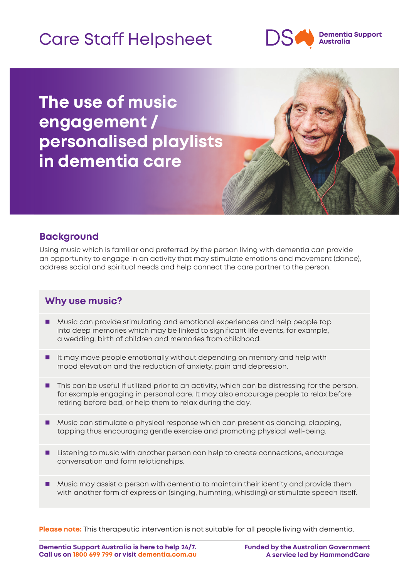# Care Staff Helpsheet



**The use of music engagement / personalised playlists in dementia care**



## **Background**

Using music which is familiar and preferred by the person living with dementia can provide an opportunity to engage in an activity that may stimulate emotions and movement (dance), address social and spiritual needs and help connect the care partner to the person.

## **Why use music?**

- Music can provide stimulating and emotional experiences and help people tap into deep memories which may be linked to significant life events, for example, a wedding, birth of children and memories from childhood.
- I It may move people emotionally without depending on memory and help with mood elevation and the reduction of anxiety, pain and depression.
- **This can be useful if utilized prior to an activity, which can be distressing for the person,** for example engaging in personal care. It may also encourage people to relax before retiring before bed, or help them to relax during the day.
- **Music can stimulate a physical response which can present as dancing, clapping,** tapping thus encouraging gentle exercise and promoting physical well-being.
- **Listening to music with another person can help to create connections, encourage** conversation and form relationships.
- **Music may assist a person with dementia to maintain their identity and provide them** with another form of expression (singing, humming, whistling) or stimulate speech itself.

**Please note:** This therapeutic intervention is not suitable for all people living with dementia.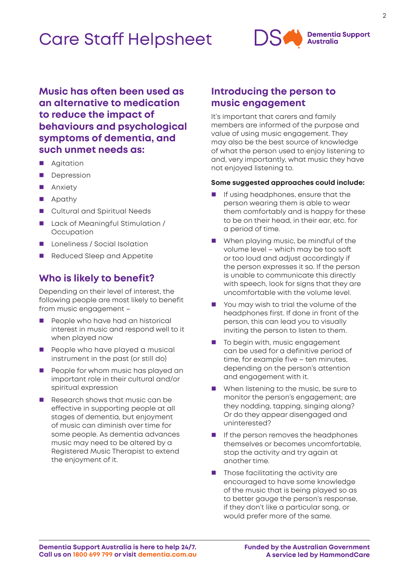## Care Staff Helpsheet



**Music has often been used as an alternative to medication to reduce the impact of behaviours and psychological symptoms of dementia, and such unmet needs as:**

- Agitation
- **Depression**
- **Anxiety**
- **Apathy**
- **Cultural and Spiritual Needs**
- Lack of Meaningful Stimulation / **Occupation**
- **Loneliness / Social Isolation**
- Reduced Sleep and Appetite

### **Who is likely to benefit?**

Depending on their level of interest, the following people are most likely to benefit from music engagement –

- **People who have had an historical** interest in music and respond well to it when played now
- People who have played a musical instrument in the past (or still do)
- **People for whom music has played an** important role in their cultural and/or spiritual expression
- Research shows that music can be effective in supporting people at all stages of dementia, but enjoyment of music can diminish over time for some people. As dementia advances music may need to be altered by a Registered Music Therapist to extend the enjoyment of it.

## **Introducing the person to music engagement**

It's important that carers and family members are informed of the purpose and value of using music engagement. They may also be the best source of knowledge of what the person used to enjoy listening to and, very importantly, what music they have not enjoyed listening to.

#### **Some suggested approaches could include:**

- If using headphones, ensure that the person wearing them is able to wear them comfortably and is happy for these to be on their head, in their ear, etc. for a period of time.
- When playing music, be mindful of the volume level – which may be too soft or too loud and adjust accordingly if the person expresses it so. If the person is unable to communicate this directly with speech, look for signs that they are uncomfortable with the volume level.
- You may wish to trial the volume of the headphones first. If done in front of the person, this can lead you to visually inviting the person to listen to them.
- To begin with, music engagement can be used for a definitive period of time, for example five – ten minutes, depending on the person's attention and engagement with it.
- When listening to the music, be sure to monitor the person's engagement; are they nodding, tapping, singing along? Or do they appear disengaged and uninterested?
- **If the person removes the headphones** themselves or becomes uncomfortable, stop the activity and try again at another time.
- Those facilitating the activity are encouraged to have some knowledge of the music that is being played so as to better gauge the person's response, if they don't like a particular song, or would prefer more of the same.